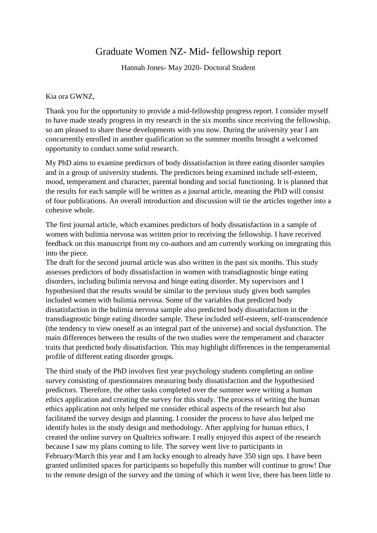## Graduate Women NZ- Mid- fellowship report

Hannah Jones- May 2020- Doctoral Student

Kia ora GWNZ,

Thank you for the opportunity to provide a mid-fellowship progress report. I consider myself to have made steady progress in my research in the six months since receiving the fellowship, so am pleased to share these developments with you now. During the university year I am concurrently enrolled in another qualification so the summer months brought a welcomed opportunity to conduct some solid research.

My PhD aims to examine predictors of body dissatisfaction in three eating disorder samples and in a group of university students. The predictors being examined include self-esteem, mood, temperament and character, parental bonding and social functioning. It is planned that the results for each sample will be written as a journal article, meaning the PhD will consist of four publications. An overall introduction and discussion will tie the articles together into a cohesive whole.

The first journal article, which examines predictors of body dissatisfaction in a sample of women with bulimia nervosa was written prior to receiving the fellowship. I have received feedback on this manuscript from my co-authors and am currently working on integrating this into the piece.

The draft for the second journal article was also written in the past six months. This study assesses predictors of body dissatisfaction in women with transdiagnostic binge eating disorders, including bulimia nervosa and binge eating disorder. My supervisors and I hypothesised that the results would be similar to the previous study given both samples included women with bulimia nervosa. Some of the variables that predicted body dissatisfaction in the bulimia nervosa sample also predicted body dissatisfaction in the transdiagnostic binge eating disorder sample. These included self-esteem, self-transcendence (the tendency to view oneself as an integral part of the universe) and social dysfunction. The main differences between the results of the two studies were the temperament and character traits that predicted body dissatisfaction. This may highlight differences in the temperamental profile of different eating disorder groups.

The third study of the PhD involves first year psychology students completing an online survey consisting of questionnaires measuring body dissatisfaction and the hypothesised predictors. Therefore, the other tasks completed over the summer were writing a human ethics application and creating the survey for this study. The process of writing the human ethics application not only helped me consider ethical aspects of the research but also facilitated the survey design and planning. I consider the process to have also helped me identify holes in the study design and methodology. After applying for human ethics, I created the online survey on Qualtrics software. I really enjoyed this aspect of the research because I saw my plans coming to life. The survey went live to participants in February/March this year and I am lucky enough to already have 350 sign ups. I have been granted unlimited spaces for participants so hopefully this number will continue to grow! Due to the remote design of the survey and the timing of which it went live, there has been little to